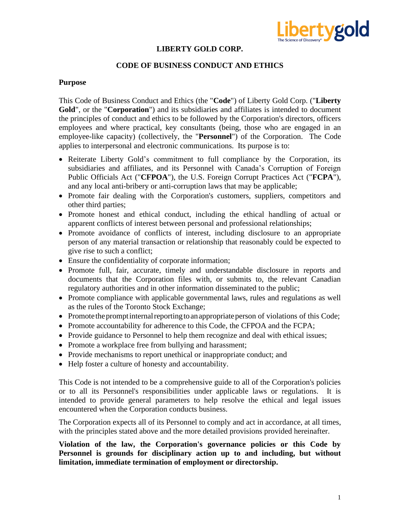

### **LIBERTY GOLD CORP.**

#### **CODE OF BUSINESS CONDUCT AND ETHICS**

#### **Purpose**

This Code of Business Conduct and Ethics (the "**Code**") of Liberty Gold Corp. ("**Liberty Gold**", or the "**Corporation**") and its subsidiaries and affiliates is intended to document the principles of conduct and ethics to be followed by the Corporation's directors, officers employees and where practical, key consultants (being, those who are engaged in an employee-like capacity) (collectively, the "**Personnel**") of the Corporation. The Code applies to interpersonal and electronic communications. Its purpose is to:

- Reiterate Liberty Gold's commitment to full compliance by the Corporation, its subsidiaries and affiliates, and its Personnel with Canada's Corruption of Foreign Public Officials Act ("**CFPOA**"), the U.S. Foreign Corrupt Practices Act ("**FCPA**"), and any local anti-bribery or anti-corruption laws that may be applicable;
- Promote fair dealing with the Corporation's customers, suppliers, competitors and other third parties;
- Promote honest and ethical conduct, including the ethical handling of actual or apparent conflicts of interest between personal and professional relationships;
- Promote avoidance of conflicts of interest, including disclosure to an appropriate person of any material transaction or relationship that reasonably could be expected to give rise to such a conflict;
- Ensure the confidentiality of corporate information;
- Promote full, fair, accurate, timely and understandable disclosure in reports and documents that the Corporation files with, or submits to, the relevant Canadian regulatory authorities and in other information disseminated to the public;
- Promote compliance with applicable governmental laws, rules and regulations as well as the rules of the Toronto Stock Exchange;
- Promote the prompt internal reporting to an appropriate person of violations of this Code;
- Promote accountability for adherence to this Code, the CFPOA and the FCPA;
- Provide guidance to Personnel to help them recognize and deal with ethical issues;
- Promote a workplace free from bullying and harassment;
- Provide mechanisms to report unethical or inappropriate conduct; and
- Help foster a culture of honesty and accountability.

This Code is not intended to be a comprehensive guide to all of the Corporation's policies or to all its Personnel's responsibilities under applicable laws or regulations. It is intended to provide general parameters to help resolve the ethical and legal issues encountered when the Corporation conducts business.

The Corporation expects all of its Personnel to comply and act in accordance, at all times, with the principles stated above and the more detailed provisions provided hereinafter.

## **Violation of the law, the Corporation's governance policies or this Code by Personnel is grounds for disciplinary action up to and including, but without limitation, immediate termination of employment or directorship.**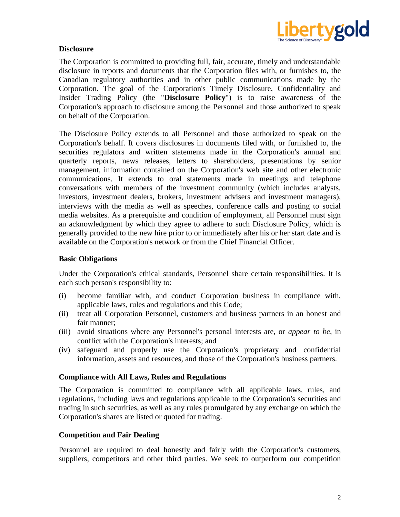

## **Disclosure**

The Corporation is committed to providing full, fair, accurate, timely and understandable disclosure in reports and documents that the Corporation files with, or furnishes to, the Canadian regulatory authorities and in other public communications made by the Corporation. The goal of the Corporation's Timely Disclosure, Confidentiality and Insider Trading Policy (the "**Disclosure Policy**") is to raise awareness of the Corporation's approach to disclosure among the Personnel and those authorized to speak on behalf of the Corporation.

The Disclosure Policy extends to all Personnel and those authorized to speak on the Corporation's behalf. It covers disclosures in documents filed with, or furnished to, the securities regulators and written statements made in the Corporation's annual and quarterly reports, news releases, letters to shareholders, presentations by senior management, information contained on the Corporation's web site and other electronic communications. It extends to oral statements made in meetings and telephone conversations with members of the investment community (which includes analysts, investors, investment dealers, brokers, investment advisers and investment managers), interviews with the media as well as speeches, conference calls and posting to social media websites. As a prerequisite and condition of employment, all Personnel must sign an acknowledgment by which they agree to adhere to such Disclosure Policy, which is generally provided to the new hire prior to or immediately after his or her start date and is available on the Corporation's network or from the Chief Financial Officer.

### **Basic Obligations**

Under the Corporation's ethical standards, Personnel share certain responsibilities. It is each such person's responsibility to:

- (i) become familiar with, and conduct Corporation business in compliance with, applicable laws, rules and regulations and this Code;
- (ii) treat all Corporation Personnel, customers and business partners in an honest and fair manner;
- (iii) avoid situations where any Personnel's personal interests are, or *appear to be*, in conflict with the Corporation's interests; and
- (iv) safeguard and properly use the Corporation's proprietary and confidential information, assets and resources, and those of the Corporation's business partners.

#### **Compliance with All Laws, Rules and Regulations**

The Corporation is committed to compliance with all applicable laws, rules, and regulations, including laws and regulations applicable to the Corporation's securities and trading in such securities, as well as any rules promulgated by any exchange on which the Corporation's shares are listed or quoted for trading.

#### **Competition and Fair Dealing**

Personnel are required to deal honestly and fairly with the Corporation's customers, suppliers, competitors and other third parties. We seek to outperform our competition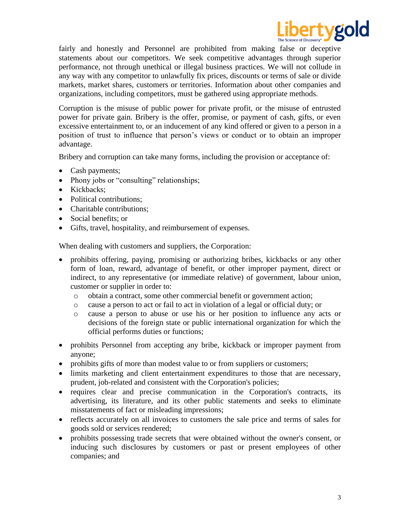

fairly and honestly and Personnel are prohibited from making false or deceptive statements about our competitors. We seek competitive advantages through superior performance, not through unethical or illegal business practices. We will not collude in any way with any competitor to unlawfully fix prices, discounts or terms of sale or divide markets, market shares, customers or territories. Information about other companies and organizations, including competitors, must be gathered using appropriate methods.

Corruption is the misuse of public power for private profit, or the misuse of entrusted power for private gain. Bribery is the offer, promise, or payment of cash, gifts, or even excessive entertainment to, or an inducement of any kind offered or given to a person in a position of trust to influence that person's views or conduct or to obtain an improper advantage.

Bribery and corruption can take many forms, including the provision or acceptance of:

- Cash payments;
- Phony jobs or "consulting" relationships;
- Kickbacks;
- Political contributions:
- Charitable contributions;
- Social benefits: or
- Gifts, travel, hospitality, and reimbursement of expenses.

When dealing with customers and suppliers, the Corporation:

- prohibits offering, paying, promising or authorizing bribes, kickbacks or any other form of loan, reward, advantage of benefit, or other improper payment, direct or indirect, to any representative (or immediate relative) of government, labour union, customer or supplier in order to:
	- o obtain a contract, some other commercial benefit or government action;
	- o cause a person to act or fail to act in violation of a legal or official duty; or
	- o cause a person to abuse or use his or her position to influence any acts or decisions of the foreign state or public international organization for which the official performs duties or functions;
- prohibits Personnel from accepting any bribe, kickback or improper payment from anyone;
- prohibits gifts of more than modest value to or from suppliers or customers;
- limits marketing and client entertainment expenditures to those that are necessary, prudent, job-related and consistent with the Corporation's policies;
- requires clear and precise communication in the Corporation's contracts, its advertising, its literature, and its other public statements and seeks to eliminate misstatements of fact or misleading impressions;
- reflects accurately on all invoices to customers the sale price and terms of sales for goods sold or services rendered;
- prohibits possessing trade secrets that were obtained without the owner's consent, or inducing such disclosures by customers or past or present employees of other companies; and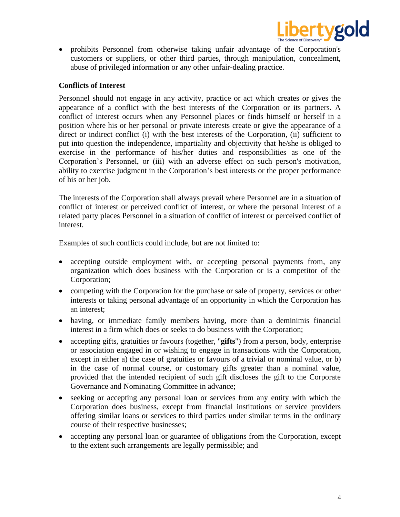

• prohibits Personnel from otherwise taking unfair advantage of the Corporation's customers or suppliers, or other third parties, through manipulation, concealment, abuse of privileged information or any other unfair-dealing practice.

## **Conflicts of Interest**

Personnel should not engage in any activity, practice or act which creates or gives the appearance of a conflict with the best interests of the Corporation or its partners. A conflict of interest occurs when any Personnel places or finds himself or herself in a position where his or her personal or private interests create or give the appearance of a direct or indirect conflict (i) with the best interests of the Corporation, (ii) sufficient to put into question the independence, impartiality and objectivity that he/she is obliged to exercise in the performance of his/her duties and responsibilities as one of the Corporation's Personnel, or (iii) with an adverse effect on such person's motivation, ability to exercise judgment in the Corporation's best interests or the proper performance of his or her job.

The interests of the Corporation shall always prevail where Personnel are in a situation of conflict of interest or perceived conflict of interest, or where the personal interest of a related party places Personnel in a situation of conflict of interest or perceived conflict of interest.

Examples of such conflicts could include, but are not limited to:

- accepting outside employment with, or accepting personal payments from, any organization which does business with the Corporation or is a competitor of the Corporation;
- competing with the Corporation for the purchase or sale of property, services or other interests or taking personal advantage of an opportunity in which the Corporation has an interest;
- having, or immediate family members having, more than a deminimis financial interest in a firm which does or seeks to do business with the Corporation;
- accepting gifts, gratuities or favours (together, "**gifts**") from a person, body, enterprise or association engaged in or wishing to engage in transactions with the Corporation, except in either a) the case of gratuities or favours of a trivial or nominal value, or b) in the case of normal course, or customary gifts greater than a nominal value, provided that the intended recipient of such gift discloses the gift to the Corporate Governance and Nominating Committee in advance;
- seeking or accepting any personal loan or services from any entity with which the Corporation does business, except from financial institutions or service providers offering similar loans or services to third parties under similar terms in the ordinary course of their respective businesses;
- accepting any personal loan or guarantee of obligations from the Corporation, except to the extent such arrangements are legally permissible; and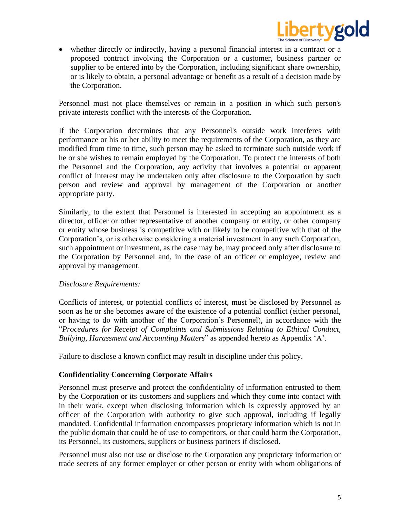

• whether directly or indirectly, having a personal financial interest in a contract or a proposed contract involving the Corporation or a customer, business partner or supplier to be entered into by the Corporation, including significant share ownership, or is likely to obtain, a personal advantage or benefit as a result of a decision made by the Corporation.

Personnel must not place themselves or remain in a position in which such person's private interests conflict with the interests of the Corporation.

If the Corporation determines that any Personnel's outside work interferes with performance or his or her ability to meet the requirements of the Corporation, as they are modified from time to time, such person may be asked to terminate such outside work if he or she wishes to remain employed by the Corporation. To protect the interests of both the Personnel and the Corporation, any activity that involves a potential or apparent conflict of interest may be undertaken only after disclosure to the Corporation by such person and review and approval by management of the Corporation or another appropriate party.

Similarly, to the extent that Personnel is interested in accepting an appointment as a director, officer or other representative of another company or entity, or other company or entity whose business is competitive with or likely to be competitive with that of the Corporation's, or is otherwise considering a material investment in any such Corporation, such appointment or investment, as the case may be, may proceed only after disclosure to the Corporation by Personnel and, in the case of an officer or employee, review and approval by management.

### *Disclosure Requirements:*

Conflicts of interest, or potential conflicts of interest, must be disclosed by Personnel as soon as he or she becomes aware of the existence of a potential conflict (either personal, or having to do with another of the Corporation's Personnel), in accordance with the "*Procedures for Receipt of Complaints and Submissions Relating to Ethical Conduct, Bullying, Harassment and Accounting Matters*" as appended hereto as Appendix 'A'.

Failure to disclose a known conflict may result in discipline under this policy.

### **Confidentiality Concerning Corporate Affairs**

Personnel must preserve and protect the confidentiality of information entrusted to them by the Corporation or its customers and suppliers and which they come into contact with in their work, except when disclosing information which is expressly approved by an officer of the Corporation with authority to give such approval, including if legally mandated. Confidential information encompasses proprietary information which is not in the public domain that could be of use to competitors, or that could harm the Corporation, its Personnel, its customers, suppliers or business partners if disclosed.

Personnel must also not use or disclose to the Corporation any proprietary information or trade secrets of any former employer or other person or entity with whom obligations of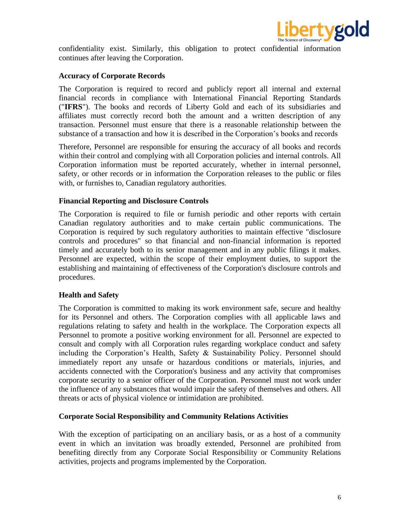

confidentiality exist. Similarly, this obligation to protect confidential information continues after leaving the Corporation.

#### **Accuracy of Corporate Records**

The Corporation is required to record and publicly report all internal and external financial records in compliance with International Financial Reporting Standards ("**IFRS**"). The books and records of Liberty Gold and each of its subsidiaries and affiliates must correctly record both the amount and a written description of any transaction. Personnel must ensure that there is a reasonable relationship between the substance of a transaction and how it is described in the Corporation's books and records

Therefore, Personnel are responsible for ensuring the accuracy of all books and records within their control and complying with all Corporation policies and internal controls. All Corporation information must be reported accurately, whether in internal personnel, safety, or other records or in information the Corporation releases to the public or files with, or furnishes to, Canadian regulatory authorities.

#### **Financial Reporting and Disclosure Controls**

The Corporation is required to file or furnish periodic and other reports with certain Canadian regulatory authorities and to make certain public communications. The Corporation is required by such regulatory authorities to maintain effective "disclosure controls and procedures" so that financial and non-financial information is reported timely and accurately both to its senior management and in any public filings it makes. Personnel are expected, within the scope of their employment duties, to support the establishing and maintaining of effectiveness of the Corporation's disclosure controls and procedures.

#### **Health and Safety**

The Corporation is committed to making its work environment safe, secure and healthy for its Personnel and others. The Corporation complies with all applicable laws and regulations relating to safety and health in the workplace. The Corporation expects all Personnel to promote a positive working environment for all. Personnel are expected to consult and comply with all Corporation rules regarding workplace conduct and safety including the Corporation's Health, Safety & Sustainability Policy. Personnel should immediately report any unsafe or hazardous conditions or materials, injuries, and accidents connected with the Corporation's business and any activity that compromises corporate security to a senior officer of the Corporation. Personnel must not work under the influence of any substances that would impair the safety of themselves and others. All threats or acts of physical violence or intimidation are prohibited.

#### **Corporate Social Responsibility and Community Relations Activities**

With the exception of participating on an anciliary basis, or as a host of a community event in which an invitation was broadly extended, Personnel are prohibited from benefiting directly from any Corporate Social Responsibility or Community Relations activities, projects and programs implemented by the Corporation.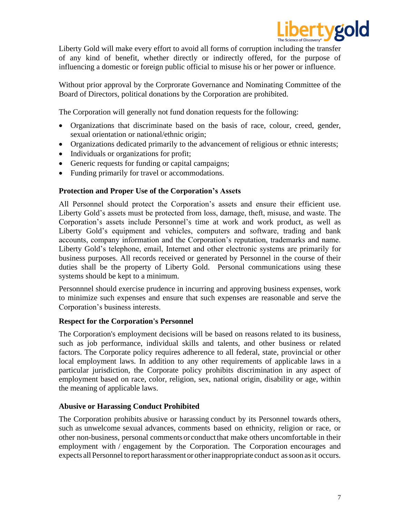

Liberty Gold will make every effort to avoid all forms of corruption including the transfer of any kind of benefit, whether directly or indirectly offered, for the purpose of influencing a domestic or foreign public official to misuse his or her power or influence.

Without prior approval by the Corprorate Governance and Nominating Committee of the Board of Directors, political donations by the Corporation are prohibited.

The Corporation will generally not fund donation requests for the following:

- Organizations that discriminate based on the basis of race, colour, creed, gender, sexual orientation or national/ethnic origin;
- Organizations dedicated primarily to the advancement of religious or ethnic interests;
- Individuals or organizations for profit;
- Generic requests for funding or capital campaigns;
- Funding primarily for travel or accommodations.

## **Protection and Proper Use of the Corporation's Assets**

All Personnel should protect the Corporation's assets and ensure their efficient use. Liberty Gold's assets must be protected from loss, damage, theft, misuse, and waste. The Corporation's assets include Personnel's time at work and work product, as well as Liberty Gold's equipment and vehicles, computers and software, trading and bank accounts, company information and the Corporation's reputation, trademarks and name. Liberty Gold's telephone, email, Internet and other electronic systems are primarily for business purposes. All records received or generated by Personnel in the course of their duties shall be the property of Liberty Gold. Personal communications using these systems should be kept to a minimum.

Personnnel should exercise prudence in incurring and approving business expenses, work to minimize such expenses and ensure that such expenses are reasonable and serve the Corporation's business interests.

### **Respect for the Corporation's Personnel**

The Corporation's employment decisions will be based on reasons related to its business, such as job performance, individual skills and talents, and other business or related factors. The Corporate policy requires adherence to all federal, state, provincial or other local employment laws. In addition to any other requirements of applicable laws in a particular jurisdiction, the Corporate policy prohibits discrimination in any aspect of employment based on race, color, religion, sex, national origin, disability or age, within the meaning of applicable laws.

### **Abusive or Harassing Conduct Prohibited**

The Corporation prohibits abusive or harassing conduct by its Personnel towards others, such as unwelcome sexual advances, comments based on ethnicity, religion or race, or other non-business, personal comments or conductthat make others uncomfortable in their employment with / engagement by the Corporation. The Corporation encourages and expects all Personnel to report harassment or other inappropriate conduct as soon as it occurs.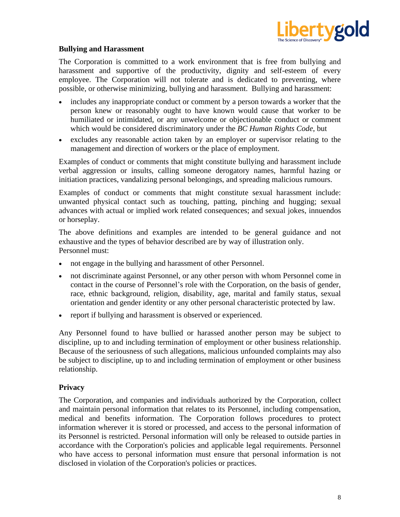

## **Bullying and Harassment**

The Corporation is committed to a work environment that is free from bullying and harassment and supportive of the productivity, dignity and self-esteem of every employee. The Corporation will not tolerate and is dedicated to preventing, where possible, or otherwise minimizing, bullying and harassment. Bullying and harassment:

- includes any inappropriate conduct or comment by a person towards a worker that the person knew or reasonably ought to have known would cause that worker to be humiliated or intimidated, or any unwelcome or objectionable conduct or comment which would be considered discriminatory under the *BC Human Rights Code*, but
- excludes any reasonable action taken by an employer or supervisor relating to the management and direction of workers or the place of employment.

Examples of conduct or comments that might constitute bullying and harassment include verbal aggression or insults, calling someone derogatory names, harmful hazing or initiation practices, vandalizing personal belongings, and spreading malicious rumours.

Examples of conduct or comments that might constitute sexual harassment include: unwanted physical contact such as touching, patting, pinching and hugging; sexual advances with actual or implied work related consequences; and sexual jokes, innuendos or horseplay.

The above definitions and examples are intended to be general guidance and not exhaustive and the types of behavior described are by way of illustration only. Personnel must:

- not engage in the bullying and harassment of other Personnel.
- not discriminate against Personnel, or any other person with whom Personnel come in contact in the course of Personnel's role with the Corporation, on the basis of gender, race, ethnic background, religion, disability, age, marital and family status, sexual orientation and gender identity or any other personal characteristic protected by law.
- report if bullying and harassment is observed or experienced.

Any Personnel found to have bullied or harassed another person may be subject to discipline, up to and including termination of employment or other business relationship. Because of the seriousness of such allegations, malicious unfounded complaints may also be subject to discipline, up to and including termination of employment or other business relationship.

### **Privacy**

The Corporation, and companies and individuals authorized by the Corporation, collect and maintain personal information that relates to its Personnel, including compensation, medical and benefits information. The Corporation follows procedures to protect information wherever it is stored or processed, and access to the personal information of its Personnel is restricted. Personal information will only be released to outside parties in accordance with the Corporation's policies and applicable legal requirements. Personnel who have access to personal information must ensure that personal information is not disclosed in violation of the Corporation's policies or practices.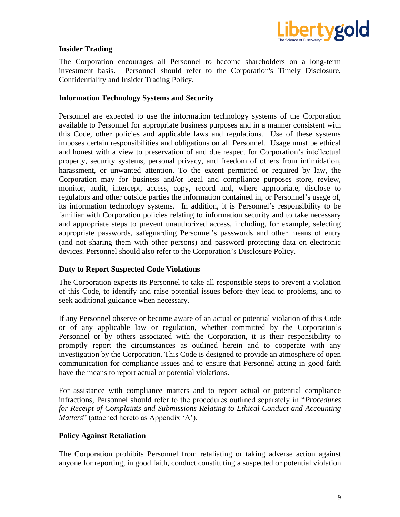

## **Insider Trading**

The Corporation encourages all Personnel to become shareholders on a long-term investment basis. Personnel should refer to the Corporation's Timely Disclosure, Confidentiality and Insider Trading Policy.

#### **Information Technology Systems and Security**

Personnel are expected to use the information technology systems of the Corporation available to Personnel for appropriate business purposes and in a manner consistent with this Code, other policies and applicable laws and regulations. Use of these systems imposes certain responsibilities and obligations on all Personnel. Usage must be ethical and honest with a view to preservation of and due respect for Corporation's intellectual property, security systems, personal privacy, and freedom of others from intimidation, harassment, or unwanted attention. To the extent permitted or required by law, the Corporation may for business and/or legal and compliance purposes store, review, monitor, audit, intercept, access, copy, record and, where appropriate, disclose to regulators and other outside parties the information contained in, or Personnel's usage of, its information technology systems. In addition, it is Personnel's responsibility to be familiar with Corporation policies relating to information security and to take necessary and appropriate steps to prevent unauthorized access, including, for example, selecting appropriate passwords, safeguarding Personnel's passwords and other means of entry (and not sharing them with other persons) and password protecting data on electronic devices. Personnel should also refer to the Corporation's Disclosure Policy.

### **Duty to Report Suspected Code Violations**

The Corporation expects its Personnel to take all responsible steps to prevent a violation of this Code, to identify and raise potential issues before they lead to problems, and to seek additional guidance when necessary.

If any Personnel observe or become aware of an actual or potential violation of this Code or of any applicable law or regulation, whether committed by the Corporation's Personnel or by others associated with the Corporation, it is their responsibility to promptly report the circumstances as outlined herein and to cooperate with any investigation by the Corporation. This Code is designed to provide an atmosphere of open communication for compliance issues and to ensure that Personnel acting in good faith have the means to report actual or potential violations.

For assistance with compliance matters and to report actual or potential compliance infractions, Personnel should refer to the procedures outlined separately in "*Procedures for Receipt of Complaints and Submissions Relating to Ethical Conduct and Accounting Matters*" (attached hereto as Appendix 'A').

#### **Policy Against Retaliation**

The Corporation prohibits Personnel from retaliating or taking adverse action against anyone for reporting, in good faith, conduct constituting a suspected or potential violation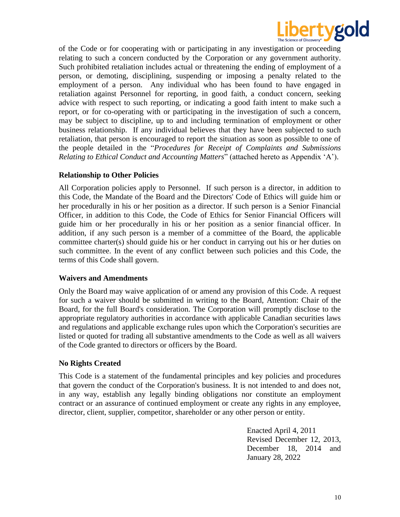

of the Code or for cooperating with or participating in any investigation or proceeding relating to such a concern conducted by the Corporation or any government authority. Such prohibited retaliation includes actual or threatening the ending of employment of a person, or demoting, disciplining, suspending or imposing a penalty related to the employment of a person. Any individual who has been found to have engaged in retaliation against Personnel for reporting, in good faith, a conduct concern, seeking advice with respect to such reporting, or indicating a good faith intent to make such a report, or for co-operating with or participating in the investigation of such a concern, may be subject to discipline, up to and including termination of employment or other business relationship. If any individual believes that they have been subjected to such retaliation, that person is encouraged to report the situation as soon as possible to one of the people detailed in the "*Procedures for Receipt of Complaints and Submissions Relating to Ethical Conduct and Accounting Matters*" (attached hereto as Appendix 'A').

### **Relationship to Other Policies**

All Corporation policies apply to Personnel. If such person is a director, in addition to this Code, the Mandate of the Board and the Directors' Code of Ethics will guide him or her procedurally in his or her position as a director. If such person is a Senior Financial Officer, in addition to this Code, the Code of Ethics for Senior Financial Officers will guide him or her procedurally in his or her position as a senior financial officer. In addition, if any such person is a member of a committee of the Board, the applicable committee charter(s) should guide his or her conduct in carrying out his or her duties on such committee. In the event of any conflict between such policies and this Code, the terms of this Code shall govern.

### **Waivers and Amendments**

Only the Board may waive application of or amend any provision of this Code. A request for such a waiver should be submitted in writing to the Board, Attention: Chair of the Board, for the full Board's consideration. The Corporation will promptly disclose to the appropriate regulatory authorities in accordance with applicable Canadian securities laws and regulations and applicable exchange rules upon which the Corporation's securities are listed or quoted for trading all substantive amendments to the Code as well as all waivers of the Code granted to directors or officers by the Board.

### **No Rights Created**

This Code is a statement of the fundamental principles and key policies and procedures that govern the conduct of the Corporation's business. It is not intended to and does not, in any way, establish any legally binding obligations nor constitute an employment contract or an assurance of continued employment or create any rights in any employee, director, client, supplier, competitor, shareholder or any other person or entity.

> Enacted April 4, 2011 Revised December 12, 2013, December 18, 2014 and January 28, 2022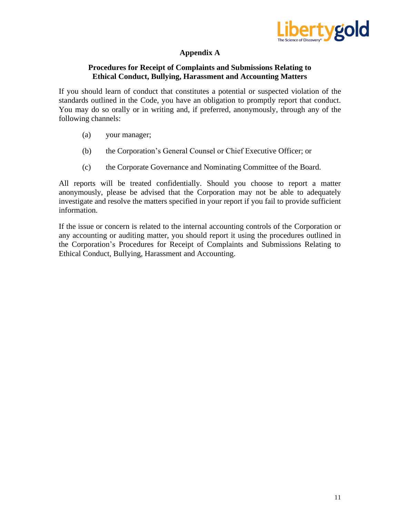

# **Appendix A**

## **Procedures for Receipt of Complaints and Submissions Relating to Ethical Conduct, Bullying, Harassment and Accounting Matters**

If you should learn of conduct that constitutes a potential or suspected violation of the standards outlined in the Code, you have an obligation to promptly report that conduct. You may do so orally or in writing and, if preferred, anonymously, through any of the following channels:

- (a) your manager;
- (b) the Corporation's General Counsel or Chief Executive Officer; or
- (c) the Corporate Governance and Nominating Committee of the Board.

All reports will be treated confidentially. Should you choose to report a matter anonymously, please be advised that the Corporation may not be able to adequately investigate and resolve the matters specified in your report if you fail to provide sufficient information.

If the issue or concern is related to the internal accounting controls of the Corporation or any accounting or auditing matter, you should report it using the procedures outlined in the Corporation's Procedures for Receipt of Complaints and Submissions Relating to Ethical Conduct, Bullying, Harassment and Accounting.